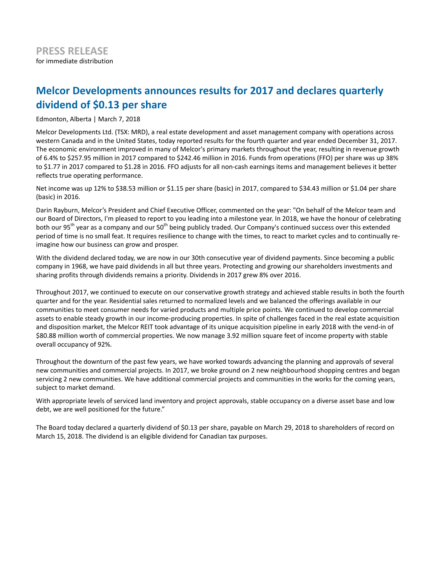# **Melcor Developments announces results for 2017 and declares quarterly dividend of \$0.13 per share**

Edmonton, Alberta | March 7, 2018

Melcor Developments Ltd. (TSX: MRD), a real estate development and asset management company with operations across western Canada and in the United States, today reported results for the fourth quarter and year ended December 31, 2017. The economic environment improved in many of Melcor's primary markets throughout the year, resulting in revenue growth of 6.4% to \$257.95 million in 2017 compared to \$242.46 million in 2016. Funds from operations (FFO) per share was up 38% to \$1.77 in 2017 compared to \$1.28 in 2016. FFO adjusts for all non-cash earnings items and management believes it better reflects true operating performance.

Net income was up 12% to \$38.53 million or \$1.15 per share (basic) in 2017, compared to \$34.43 million or \$1.04 per share (basic) in 2016.

Darin Rayburn, Melcor's President and Chief Executive Officer, commented on the year: "On behalf of the Melcor team and our Board of Directors, I'm pleased to report to you leading into a milestone year. In 2018, we have the honour of celebrating both our 95<sup>th</sup> year as a company and our 50<sup>th</sup> being publicly traded. Our Company's continued success over this extended period of time is no small feat. It requires resilience to change with the times, to react to market cycles and to continually reimagine how our business can grow and prosper.

With the dividend declared today, we are now in our 30th consecutive year of dividend payments. Since becoming a public company in 1968, we have paid dividends in all but three years. Protecting and growing our shareholders investments and sharing profits through dividends remains a priority. Dividends in 2017 grew 8% over 2016.

Throughout 2017, we continued to execute on our conservative growth strategy and achieved stable results in both the fourth quarter and for the year. Residential sales returned to normalized levels and we balanced the offerings available in our communities to meet consumer needs for varied products and multiple price points. We continued to develop commercial assets to enable steady growth in our income-producing properties. In spite of challenges faced in the real estate acquisition and disposition market, the Melcor REIT took advantage of its unique acquisition pipeline in early 2018 with the vend-in of \$80.88 million worth of commercial properties. We now manage 3.92 million square feet of income property with stable overall occupancy of 92%.

Throughout the downturn of the past few years, we have worked towards advancing the planning and approvals of several new communities and commercial projects. In 2017, we broke ground on 2 new neighbourhood shopping centres and began servicing 2 new communities. We have additional commercial projects and communities in the works for the coming years, subject to market demand.

With appropriate levels of serviced land inventory and project approvals, stable occupancy on a diverse asset base and low debt, we are well positioned for the future."

The Board today declared a quarterly dividend of \$0.13 per share, payable on March 29, 2018 to shareholders of record on March 15, 2018. The dividend is an eligible dividend for Canadian tax purposes.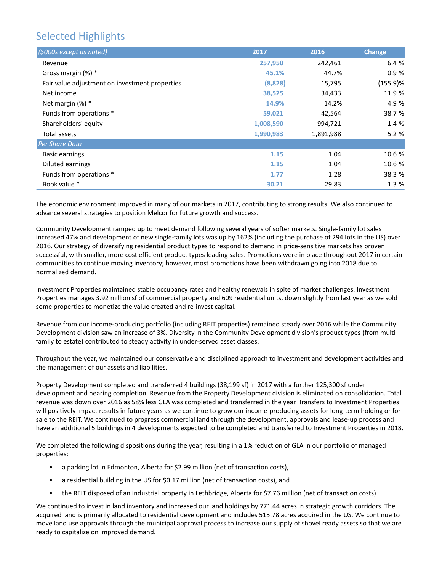# Selected Highlights

| (\$000s except as noted)                       | 2017      | 2016      | <b>Change</b> |
|------------------------------------------------|-----------|-----------|---------------|
| Revenue                                        | 257,950   | 242,461   | 6.4 %         |
| Gross margin $(\%)$ *                          | 45.1%     | 44.7%     | 0.9%          |
| Fair value adjustment on investment properties | (8,828)   | 15,795    | $(155.9)$ %   |
| Net income                                     | 38,525    | 34,433    | 11.9 %        |
| Net margin (%) *                               | 14.9%     | 14.2%     | 4.9 %         |
| Funds from operations *                        | 59,021    | 42,564    | 38.7 %        |
| Shareholders' equity                           | 1,008,590 | 994,721   | 1.4 %         |
| Total assets                                   | 1,990,983 | 1,891,988 | 5.2%          |
| Per Share Data                                 |           |           |               |
| <b>Basic earnings</b>                          | 1.15      | 1.04      | 10.6 %        |
| Diluted earnings                               | 1.15      | 1.04      | 10.6 %        |
| Funds from operations *                        | 1.77      | 1.28      | 38.3 %        |
| Book value *                                   | 30.21     | 29.83     | 1.3 %         |

The economic environment improved in many of our markets in 2017, contributing to strong results. We also continued to advance several strategies to position Melcor for future growth and success.

Community Development ramped up to meet demand following several years of softer markets. Single-family lot sales increased 47% and development of new single-family lots was up by 162% (including the purchase of 294 lots in the US) over 2016. Our strategy of diversifying residential product types to respond to demand in price-sensitive markets has proven successful, with smaller, more cost efficient product types leading sales. Promotions were in place throughout 2017 in certain communities to continue moving inventory; however, most promotions have been withdrawn going into 2018 due to normalized demand.

Investment Properties maintained stable occupancy rates and healthy renewals in spite of market challenges. Investment Properties manages 3.92 million sf of commercial property and 609 residential units, down slightly from last year as we sold some properties to monetize the value created and re-invest capital.

Revenue from our income-producing portfolio (including REIT properties) remained steady over 2016 while the Community Development division saw an increase of 3%. Diversity in the Community Development division's product types (from multifamily to estate) contributed to steady activity in under-served asset classes.

Throughout the year, we maintained our conservative and disciplined approach to investment and development activities and the management of our assets and liabilities.

Property Development completed and transferred 4 buildings (38,199 sf) in 2017 with a further 125,300 sf under development and nearing completion. Revenue from the Property Development division is eliminated on consolidation. Total revenue was down over 2016 as 58% less GLA was completed and transferred in the year. Transfers to Investment Properties will positively impact results in future years as we continue to grow our income-producing assets for long-term holding or for sale to the REIT. We continued to progress commercial land through the development, approvals and lease-up process and have an additional 5 buildings in 4 developments expected to be completed and transferred to Investment Properties in 2018.

We completed the following dispositions during the year, resulting in a 1% reduction of GLA in our portfolio of managed properties:

- a parking lot in Edmonton, Alberta for \$2.99 million (net of transaction costs),
- a residential building in the US for \$0.17 million (net of transaction costs), and
- the REIT disposed of an industrial property in Lethbridge, Alberta for \$7.76 million (net of transaction costs).

We continued to invest in land inventory and increased our land holdings by 771.44 acres in strategic growth corridors. The acquired land is primarily allocated to residential development and includes 515.78 acres acquired in the US. We continue to move land use approvals through the municipal approval process to increase our supply of shovel ready assets so that we are ready to capitalize on improved demand.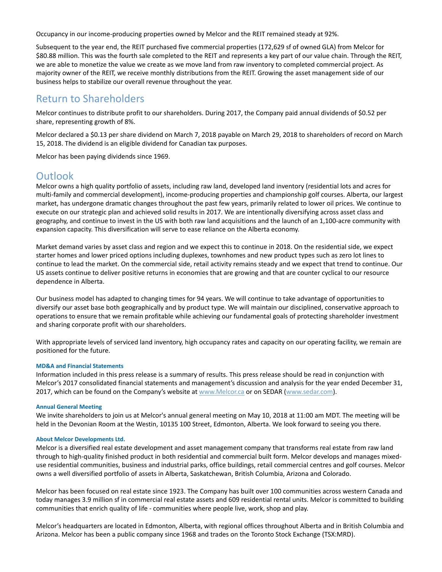Occupancy in our income-producing properties owned by Melcor and the REIT remained steady at 92%.

Subsequent to the year end, the REIT purchased five commercial properties (172,629 sf of owned GLA) from Melcor for \$80.88 million. This was the fourth sale completed to the REIT and represents a key part of our value chain. Through the REIT, we are able to monetize the value we create as we move land from raw inventory to completed commercial project. As majority owner of the REIT, we receive monthly distributions from the REIT. Growing the asset management side of our business helps to stabilize our overall revenue throughout the year.

## Return to Shareholders

Melcor continues to distribute profit to our shareholders. During 2017, the Company paid annual dividends of \$0.52 per share, representing growth of 8%.

Melcor declared a \$0.13 per share dividend on March 7, 2018 payable on March 29, 2018 to shareholders of record on March 15, 2018. The dividend is an eligible dividend for Canadian tax purposes.

Melcor has been paying dividends since 1969.

## **Outlook**

Melcor owns a high quality portfolio of assets, including raw land, developed land inventory (residential lots and acres for multi-family and commercial development), income-producing properties and championship golf courses. Alberta, our largest market, has undergone dramatic changes throughout the past few years, primarily related to lower oil prices. We continue to execute on our strategic plan and achieved solid results in 2017. We are intentionally diversifying across asset class and geography, and continue to invest in the US with both raw land acquisitions and the launch of an 1,100-acre community with expansion capacity. This diversification will serve to ease reliance on the Alberta economy.

Market demand varies by asset class and region and we expect this to continue in 2018. On the residential side, we expect starter homes and lower priced options including duplexes, townhomes and new product types such as zero lot lines to continue to lead the market. On the commercial side, retail activity remains steady and we expect that trend to continue. Our US assets continue to deliver positive returns in economies that are growing and that are counter cyclical to our resource dependence in Alberta.

Our business model has adapted to changing times for 94 years. We will continue to take advantage of opportunities to diversify our asset base both geographically and by product type. We will maintain our disciplined, conservative approach to operations to ensure that we remain profitable while achieving our fundamental goals of protecting shareholder investment and sharing corporate profit with our shareholders.

With appropriate levels of serviced land inventory, high occupancy rates and capacity on our operating facility, we remain are positioned for the future.

### **MD&A and Financial Statements**

Information included in this press release is a summary of results. This press release should be read in conjunction with Melcor's 2017 consolidated financial statements and management's discussion and analysis for the year ended December 31, 2017, which can be found on the Company's website at www.Melcor.ca or on SEDAR (www.sedar.com).

### **Annual General Meeting**

We invite shareholders to join us at Melcor's annual general meeting on May 10, 2018 at 11:00 am MDT. The meeting will be held in the Devonian Room at the Westin, 10135 100 Street, Edmonton, Alberta. We look forward to seeing you there.

### **About Melcor Developments Ltd.**

Melcor is a diversified real estate development and asset management company that transforms real estate from raw land through to high-quality finished product in both residential and commercial built form. Melcor develops and manages mixeduse residential communities, business and industrial parks, office buildings, retail commercial centres and golf courses. Melcor owns a well diversified portfolio of assets in Alberta, Saskatchewan, British Columbia, Arizona and Colorado.

Melcor has been focused on real estate since 1923. The Company has built over 100 communities across western Canada and today manages 3.9 million sf in commercial real estate assets and 609 residential rental units. Melcor is committed to building communities that enrich quality of life - communities where people live, work, shop and play.

Melcor's headquarters are located in Edmonton, Alberta, with regional offices throughout Alberta and in British Columbia and Arizona. Melcor has been a public company since 1968 and trades on the Toronto Stock Exchange (TSX:MRD).